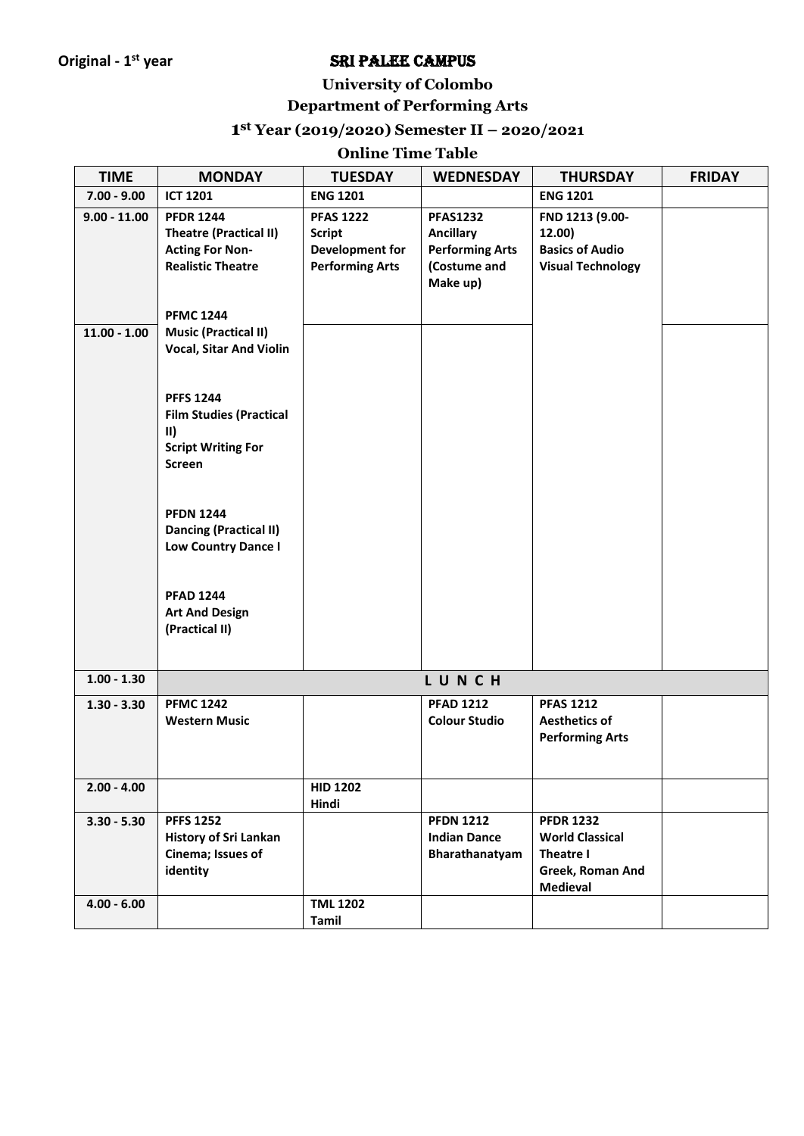### **University of Colombo**

# **Department of Performing Arts**

### **1 st Year (2019/2020) Semester II – 2020/2021**

### **Online Time Table**

| <b>TIME</b>    | <b>MONDAY</b>                                                                                                           | <b>TUESDAY</b>                                                                 | <b>WEDNESDAY</b>                                                                          | <b>THURSDAY</b>                                                                                | <b>FRIDAY</b> |
|----------------|-------------------------------------------------------------------------------------------------------------------------|--------------------------------------------------------------------------------|-------------------------------------------------------------------------------------------|------------------------------------------------------------------------------------------------|---------------|
| $7.00 - 9.00$  | <b>ICT 1201</b>                                                                                                         | <b>ENG 1201</b>                                                                |                                                                                           | <b>ENG 1201</b>                                                                                |               |
| $9.00 - 11.00$ | <b>PFDR 1244</b><br><b>Theatre (Practical II)</b><br><b>Acting For Non-</b><br><b>Realistic Theatre</b>                 | <b>PFAS 1222</b><br><b>Script</b><br>Development for<br><b>Performing Arts</b> | <b>PFAS1232</b><br><b>Ancillary</b><br><b>Performing Arts</b><br>(Costume and<br>Make up) | FND 1213 (9.00-<br>12.00)<br><b>Basics of Audio</b><br><b>Visual Technology</b>                |               |
| $11.00 - 1.00$ | <b>PFMC 1244</b><br><b>Music (Practical II)</b><br><b>Vocal, Sitar And Violin</b>                                       |                                                                                |                                                                                           |                                                                                                |               |
|                | <b>PFFS 1244</b><br><b>Film Studies (Practical</b><br>$\vert \vert \vert$<br><b>Script Writing For</b><br><b>Screen</b> |                                                                                |                                                                                           |                                                                                                |               |
|                | <b>PFDN 1244</b><br><b>Dancing (Practical II)</b><br><b>Low Country Dance I</b>                                         |                                                                                |                                                                                           |                                                                                                |               |
|                | <b>PFAD 1244</b><br><b>Art And Design</b><br>(Practical II)                                                             |                                                                                |                                                                                           |                                                                                                |               |
| $1.00 - 1.30$  |                                                                                                                         |                                                                                | LUNCH                                                                                     |                                                                                                |               |
| $1.30 - 3.30$  | <b>PFMC 1242</b><br><b>Western Music</b>                                                                                |                                                                                | <b>PFAD 1212</b><br><b>Colour Studio</b>                                                  | <b>PFAS 1212</b><br><b>Aesthetics of</b><br><b>Performing Arts</b>                             |               |
| $2.00 - 4.00$  |                                                                                                                         | <b>HID 1202</b><br>Hindi                                                       |                                                                                           |                                                                                                |               |
| $3.30 - 5.30$  | <b>PFFS 1252</b><br><b>History of Sri Lankan</b><br>Cinema; Issues of<br>identity                                       |                                                                                | <b>PFDN 1212</b><br><b>Indian Dance</b><br>Bharathanatyam                                 | <b>PFDR 1232</b><br><b>World Classical</b><br>Theatre I<br>Greek, Roman And<br><b>Medieval</b> |               |
| $4.00 - 6.00$  |                                                                                                                         | <b>TML 1202</b><br>Tamil                                                       |                                                                                           |                                                                                                |               |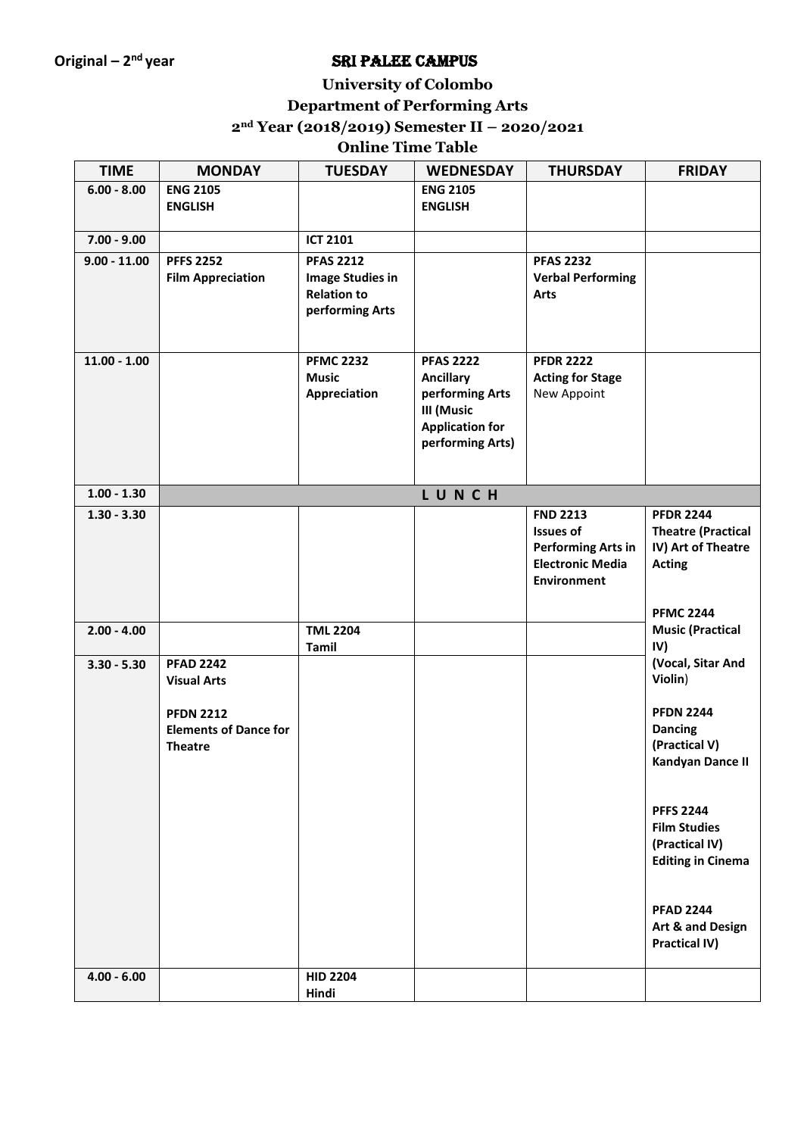### **University of Colombo**

### **Department of Performing Arts**

**2nd Year (2018/2019) Semester II – 2020/2021**

# **Online Time Table**

| <b>TIME</b>    | <b>MONDAY</b>                | <b>TUESDAY</b>          | <b>WEDNESDAY</b>                           | <b>THURSDAY</b>                     | <b>FRIDAY</b>                                 |
|----------------|------------------------------|-------------------------|--------------------------------------------|-------------------------------------|-----------------------------------------------|
| $6.00 - 8.00$  | <b>ENG 2105</b>              |                         | <b>ENG 2105</b>                            |                                     |                                               |
|                | <b>ENGLISH</b>               |                         | <b>ENGLISH</b>                             |                                     |                                               |
| $7.00 - 9.00$  |                              | <b>ICT 2101</b>         |                                            |                                     |                                               |
| $9.00 - 11.00$ | <b>PFFS 2252</b>             | <b>PFAS 2212</b>        |                                            | <b>PFAS 2232</b>                    |                                               |
|                | <b>Film Appreciation</b>     | <b>Image Studies in</b> |                                            | <b>Verbal Performing</b>            |                                               |
|                |                              | <b>Relation to</b>      |                                            | <b>Arts</b>                         |                                               |
|                |                              | performing Arts         |                                            |                                     |                                               |
|                |                              |                         |                                            |                                     |                                               |
| $11.00 - 1.00$ |                              | <b>PFMC 2232</b>        | <b>PFAS 2222</b>                           | <b>PFDR 2222</b>                    |                                               |
|                |                              | <b>Music</b>            | <b>Ancillary</b>                           | <b>Acting for Stage</b>             |                                               |
|                |                              | Appreciation            | performing Arts                            | New Appoint                         |                                               |
|                |                              |                         | III (Music                                 |                                     |                                               |
|                |                              |                         | <b>Application for</b><br>performing Arts) |                                     |                                               |
|                |                              |                         |                                            |                                     |                                               |
|                |                              |                         |                                            |                                     |                                               |
| $1.00 - 1.30$  |                              |                         | LUNCH                                      |                                     |                                               |
| $1.30 - 3.30$  |                              |                         |                                            | <b>FND 2213</b><br><b>Issues of</b> | <b>PFDR 2244</b><br><b>Theatre (Practical</b> |
|                |                              |                         |                                            | <b>Performing Arts in</b>           | IV) Art of Theatre                            |
|                |                              |                         |                                            | <b>Electronic Media</b>             | <b>Acting</b>                                 |
|                |                              |                         |                                            | <b>Environment</b>                  |                                               |
|                |                              |                         |                                            |                                     |                                               |
| $2.00 - 4.00$  |                              | <b>TML 2204</b>         |                                            |                                     | <b>PFMC 2244</b><br><b>Music (Practical</b>   |
|                |                              | Tamil                   |                                            |                                     | IV)                                           |
| $3.30 - 5.30$  | <b>PFAD 2242</b>             |                         |                                            |                                     | (Vocal, Sitar And                             |
|                | <b>Visual Arts</b>           |                         |                                            |                                     | Violin)                                       |
|                | <b>PFDN 2212</b>             |                         |                                            |                                     | <b>PFDN 2244</b>                              |
|                | <b>Elements of Dance for</b> |                         |                                            |                                     | <b>Dancing</b>                                |
|                | <b>Theatre</b>               |                         |                                            |                                     | (Practical V)                                 |
|                |                              |                         |                                            |                                     | Kandyan Dance II                              |
|                |                              |                         |                                            |                                     |                                               |
|                |                              |                         |                                            |                                     | <b>PFFS 2244</b>                              |
|                |                              |                         |                                            |                                     | <b>Film Studies</b>                           |
|                |                              |                         |                                            |                                     | (Practical IV)                                |
|                |                              |                         |                                            |                                     | <b>Editing in Cinema</b>                      |
|                |                              |                         |                                            |                                     |                                               |
|                |                              |                         |                                            |                                     | <b>PFAD 2244</b>                              |
|                |                              |                         |                                            |                                     | Art & and Design                              |
|                |                              |                         |                                            |                                     | Practical IV)                                 |
| $4.00 - 6.00$  |                              | <b>HID 2204</b>         |                                            |                                     |                                               |
|                |                              | Hindi                   |                                            |                                     |                                               |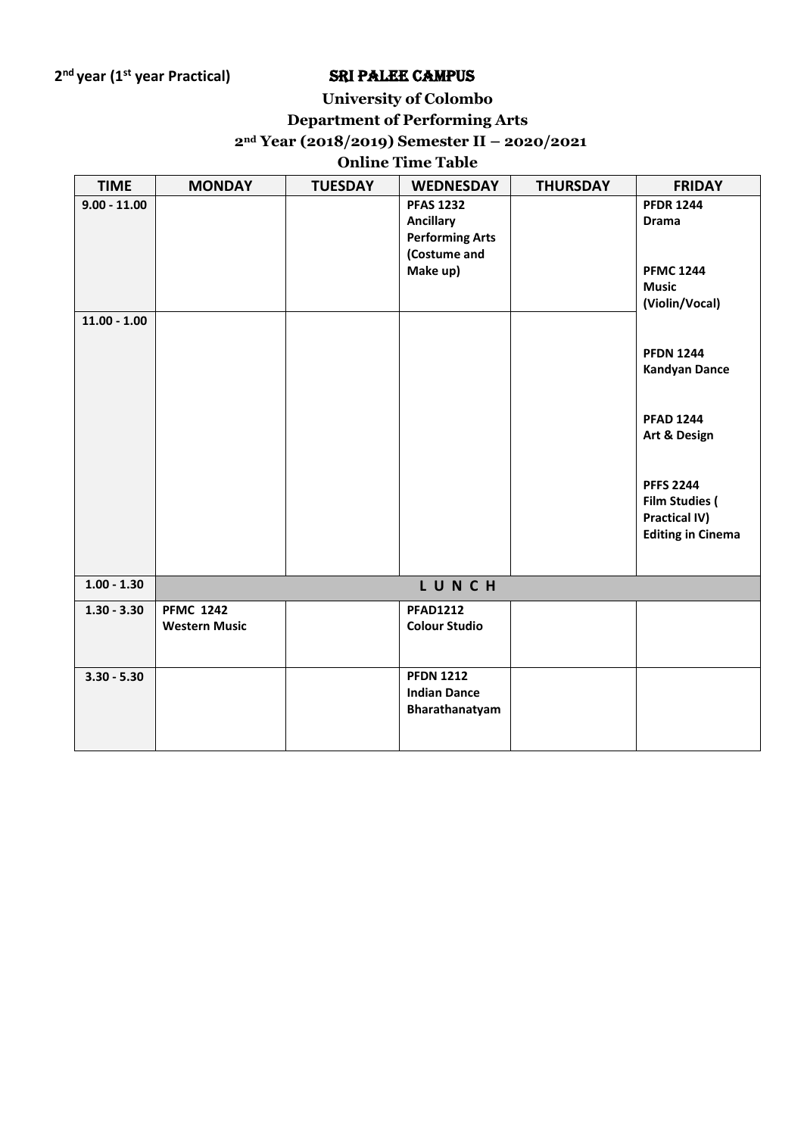# **University of Colombo**

# **Department of Performing Arts**

### **2nd Year (2018/2019) Semester II – 2020/2021**

### **Online Time Table**

| <b>TIME</b>    | <b>MONDAY</b>        | <b>TUESDAY</b> | <b>WEDNESDAY</b>       | <b>THURSDAY</b> | <b>FRIDAY</b>                    |
|----------------|----------------------|----------------|------------------------|-----------------|----------------------------------|
| $9.00 - 11.00$ |                      |                | <b>PFAS 1232</b>       |                 | <b>PFDR 1244</b>                 |
|                |                      |                | <b>Ancillary</b>       |                 | <b>Drama</b>                     |
|                |                      |                | <b>Performing Arts</b> |                 |                                  |
|                |                      |                | (Costume and           |                 |                                  |
|                |                      |                | Make up)               |                 | <b>PFMC 1244</b><br><b>Music</b> |
|                |                      |                |                        |                 | (Violin/Vocal)                   |
| $11.00 - 1.00$ |                      |                |                        |                 |                                  |
|                |                      |                |                        |                 |                                  |
|                |                      |                |                        |                 | <b>PFDN 1244</b>                 |
|                |                      |                |                        |                 | <b>Kandyan Dance</b>             |
|                |                      |                |                        |                 |                                  |
|                |                      |                |                        |                 |                                  |
|                |                      |                |                        |                 | <b>PFAD 1244</b><br>Art & Design |
|                |                      |                |                        |                 |                                  |
|                |                      |                |                        |                 |                                  |
|                |                      |                |                        |                 | <b>PFFS 2244</b>                 |
|                |                      |                |                        |                 | <b>Film Studies (</b>            |
|                |                      |                |                        |                 | <b>Practical IV)</b>             |
|                |                      |                |                        |                 | <b>Editing in Cinema</b>         |
|                |                      |                |                        |                 |                                  |
| $1.00 - 1.30$  |                      |                | LUNCH                  |                 |                                  |
| $1.30 - 3.30$  | <b>PFMC 1242</b>     |                | <b>PFAD1212</b>        |                 |                                  |
|                | <b>Western Music</b> |                | <b>Colour Studio</b>   |                 |                                  |
|                |                      |                |                        |                 |                                  |
|                |                      |                |                        |                 |                                  |
| $3.30 - 5.30$  |                      |                | <b>PFDN 1212</b>       |                 |                                  |
|                |                      |                | <b>Indian Dance</b>    |                 |                                  |
|                |                      |                | Bharathanatyam         |                 |                                  |
|                |                      |                |                        |                 |                                  |
|                |                      |                |                        |                 |                                  |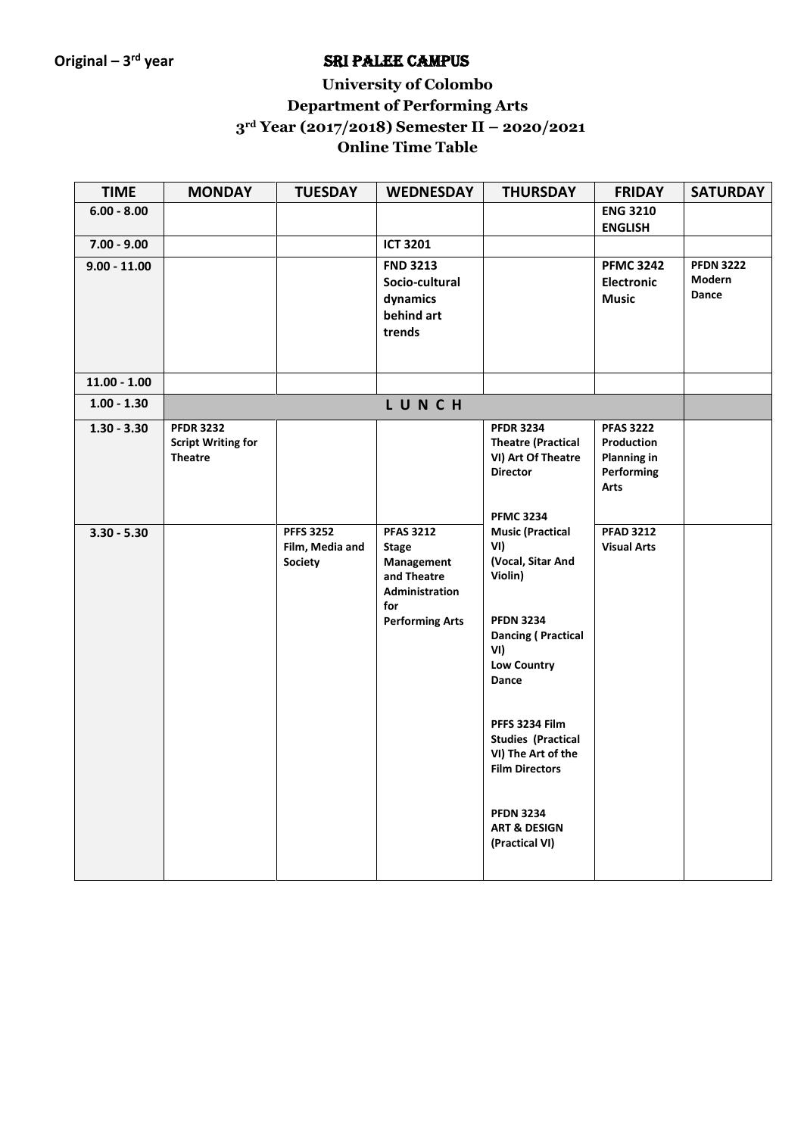# **University of Colombo Department of Performing Arts 3rd Year (2017/2018) Semester II – 2020/2021 Online Time Table**

| <b>TIME</b>    | <b>MONDAY</b>                                                   | <b>TUESDAY</b>                                        | <b>WEDNESDAY</b>                                                                                                 | <b>THURSDAY</b>                                                                                                                                                                                                                                                                                                      | <b>FRIDAY</b>                                                              | <b>SATURDAY</b>                     |
|----------------|-----------------------------------------------------------------|-------------------------------------------------------|------------------------------------------------------------------------------------------------------------------|----------------------------------------------------------------------------------------------------------------------------------------------------------------------------------------------------------------------------------------------------------------------------------------------------------------------|----------------------------------------------------------------------------|-------------------------------------|
| $6.00 - 8.00$  |                                                                 |                                                       |                                                                                                                  |                                                                                                                                                                                                                                                                                                                      | <b>ENG 3210</b><br><b>ENGLISH</b>                                          |                                     |
| $7.00 - 9.00$  |                                                                 |                                                       | <b>ICT 3201</b>                                                                                                  |                                                                                                                                                                                                                                                                                                                      |                                                                            |                                     |
| $9.00 - 11.00$ |                                                                 |                                                       | <b>FND 3213</b><br>Socio-cultural<br>dynamics<br>behind art<br>trends                                            |                                                                                                                                                                                                                                                                                                                      | <b>PFMC 3242</b><br><b>Electronic</b><br><b>Music</b>                      | <b>PFDN 3222</b><br>Modern<br>Dance |
| $11.00 - 1.00$ |                                                                 |                                                       |                                                                                                                  |                                                                                                                                                                                                                                                                                                                      |                                                                            |                                     |
| $1.00 - 1.30$  |                                                                 |                                                       | LUNCH                                                                                                            |                                                                                                                                                                                                                                                                                                                      |                                                                            |                                     |
| $1.30 - 3.30$  | <b>PFDR 3232</b><br><b>Script Writing for</b><br><b>Theatre</b> |                                                       |                                                                                                                  | <b>PFDR 3234</b><br><b>Theatre (Practical</b><br>VI) Art Of Theatre<br><b>Director</b><br><b>PFMC 3234</b>                                                                                                                                                                                                           | <b>PFAS 3222</b><br>Production<br><b>Planning in</b><br>Performing<br>Arts |                                     |
| $3.30 - 5.30$  |                                                                 | <b>PFFS 3252</b><br>Film, Media and<br><b>Society</b> | <b>PFAS 3212</b><br><b>Stage</b><br>Management<br>and Theatre<br>Administration<br>for<br><b>Performing Arts</b> | <b>Music (Practical</b><br>VI)<br>(Vocal, Sitar And<br>Violin)<br><b>PFDN 3234</b><br><b>Dancing (Practical</b><br>VI)<br><b>Low Country</b><br>Dance<br>PFFS 3234 Film<br><b>Studies (Practical</b><br>VI) The Art of the<br><b>Film Directors</b><br><b>PFDN 3234</b><br><b>ART &amp; DESIGN</b><br>(Practical VI) | <b>PFAD 3212</b><br><b>Visual Arts</b>                                     |                                     |